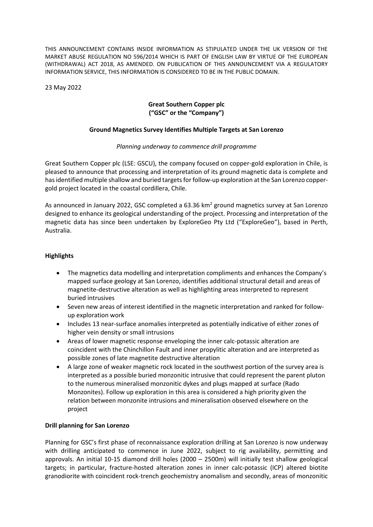THIS ANNOUNCEMENT CONTAINS INSIDE INFORMATION AS STIPULATED UNDER THE UK VERSION OF THE MARKET ABUSE REGULATION NO 596/2014 WHICH IS PART OF ENGLISH LAW BY VIRTUE OF THE EUROPEAN (WITHDRAWAL) ACT 2018, AS AMENDED. ON PUBLICATION OF THIS ANNOUNCEMENT VIA A REGULATORY INFORMATION SERVICE, THIS INFORMATION IS CONSIDERED TO BE IN THE PUBLIC DOMAIN.

23 May 2022

# **Great Southern Copper plc ("GSC" or the "Company")**

### **Ground Magnetics Survey Identifies Multiple Targets at San Lorenzo**

### *Planning underway to commence drill programme*

Great Southern Copper plc (LSE: GSCU), the company focused on copper-gold exploration in Chile, is pleased to announce that processing and interpretation of its ground magnetic data is complete and has identified multiple shallow and buried targets for follow-up exploration at the San Lorenzo coppergold project located in the coastal cordillera, Chile.

As announced in January 2022, GSC completed a 63.36 km<sup>2</sup> ground magnetics survey at San Lorenzo designed to enhance its geological understanding of the project. Processing and interpretation of the magnetic data has since been undertaken by ExploreGeo Pty Ltd ("ExploreGeo"), based in Perth, Australia.

### **Highlights**

- The magnetics data modelling and interpretation compliments and enhances the Company's mapped surface geology at San Lorenzo, identifies additional structural detail and areas of magnetite-destructive alteration as well as highlighting areas interpreted to represent buried intrusives
- Seven new areas of interest identified in the magnetic interpretation and ranked for followup exploration work
- Includes 13 near-surface anomalies interpreted as potentially indicative of either zones of higher vein density or small intrusions
- Areas of lower magnetic response enveloping the inner calc-potassic alteration are coincident with the Chinchillon Fault and inner propylitic alteration and are interpreted as possible zones of late magnetite destructive alteration
- A large zone of weaker magnetic rock located in the southwest portion of the survey area is interpreted as a possible buried monzonitic intrusive that could represent the parent pluton to the numerous mineralised monzonitic dykes and plugs mapped at surface (Rado Monzonites). Follow up exploration in this area is considered a high priority given the relation between monzonite intrusions and mineralisation observed elsewhere on the project

#### **Drill planning for San Lorenzo**

Planning for GSC's first phase of reconnaissance exploration drilling at San Lorenzo is now underway with drilling anticipated to commence in June 2022, subject to rig availability, permitting and approvals. An initial 10-15 diamond drill holes (2000 – 2500m) will initially test shallow geological targets; in particular, fracture-hosted alteration zones in inner calc-potassic (ICP) altered biotite granodiorite with coincident rock-trench geochemistry anomalism and secondly, areas of monzonitic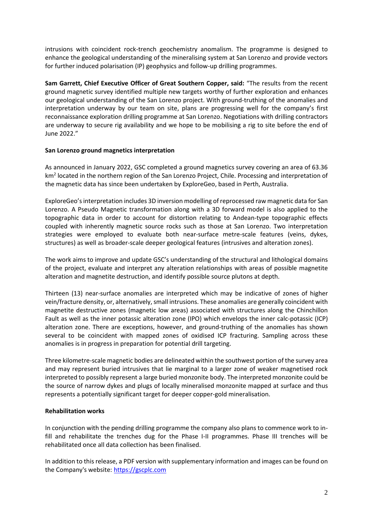intrusions with coincident rock-trench geochemistry anomalism. The programme is designed to enhance the geological understanding of the mineralising system at San Lorenzo and provide vectors for further induced polarisation (IP) geophysics and follow-up drilling programmes.

**Sam Garrett, Chief Executive Officer of Great Southern Copper, said:** "The results from the recent ground magnetic survey identified multiple new targets worthy of further exploration and enhances our geological understanding of the San Lorenzo project. With ground-truthing of the anomalies and interpretation underway by our team on site, plans are progressing well for the company's first reconnaissance exploration drilling programme at San Lorenzo. Negotiations with drilling contractors are underway to secure rig availability and we hope to be mobilising a rig to site before the end of June 2022."

### **San Lorenzo ground magnetics interpretation**

As announced in January 2022, GSC completed a ground magnetics survey covering an area of 63.36 km<sup>2</sup> located in the northern region of the San Lorenzo Project, Chile. Processing and interpretation of the magnetic data has since been undertaken by ExploreGeo, based in Perth, Australia.

ExploreGeo's interpretation includes 3D inversion modelling of reprocessed raw magnetic data for San Lorenzo. A Pseudo Magnetic transformation along with a 3D forward model is also applied to the topographic data in order to account for distortion relating to Andean-type topographic effects coupled with inherently magnetic source rocks such as those at San Lorenzo. Two interpretation strategies were employed to evaluate both near-surface metre-scale features (veins, dykes, structures) as well as broader-scale deeper geological features (intrusives and alteration zones).

The work aims to improve and update GSC's understanding of the structural and lithological domains of the project, evaluate and interpret any alteration relationships with areas of possible magnetite alteration and magnetite destruction, and identify possible source plutons at depth.

Thirteen (13) near-surface anomalies are interpreted which may be indicative of zones of higher vein/fracture density, or, alternatively, small intrusions. These anomalies are generally coincident with magnetite destructive zones (magnetic low areas) associated with structures along the Chinchillon Fault as well as the inner potassic alteration zone (IPO) which envelops the inner calc-potassic (ICP) alteration zone. There are exceptions, however, and ground-truthing of the anomalies has shown several to be coincident with mapped zones of oxidised ICP fracturing. Sampling across these anomalies is in progress in preparation for potential drill targeting.

Three kilometre-scale magnetic bodies are delineated within the southwest portion of the survey area and may represent buried intrusives that lie marginal to a larger zone of weaker magnetised rock interpreted to possibly represent a large buried monzonite body. The interpreted monzonite could be the source of narrow dykes and plugs of locally mineralised monzonite mapped at surface and thus represents a potentially significant target for deeper copper-gold mineralisation.

# **Rehabilitation works**

In conjunction with the pending drilling programme the company also plans to commence work to infill and rehabilitate the trenches dug for the Phase I-II programmes. Phase III trenches will be rehabilitated once all data collection has been finalised.

In addition to this release, a PDF version with supplementary information and images can be found on the Company's website: [https://gscplc.com](https://gscplc.com/)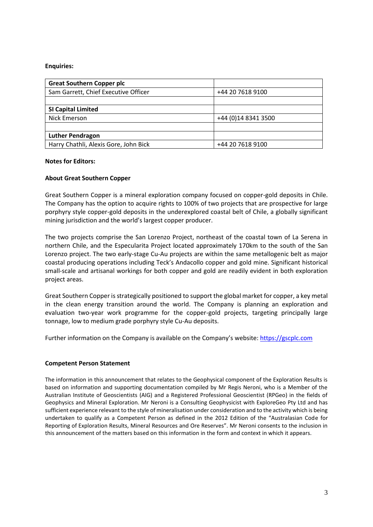#### **Enquiries:**

| <b>Great Southern Copper plc</b>      |                     |
|---------------------------------------|---------------------|
| Sam Garrett, Chief Executive Officer  | +44 20 7618 9100    |
|                                       |                     |
| <b>SI Capital Limited</b>             |                     |
| Nick Emerson                          | +44 (0)14 8341 3500 |
|                                       |                     |
| <b>Luther Pendragon</b>               |                     |
| Harry Chathli, Alexis Gore, John Bick | +44 20 7618 9100    |

#### **Notes for Editors:**

# **About Great Southern Copper**

Great Southern Copper is a mineral exploration company focused on copper-gold deposits in Chile. The Company has the option to acquire rights to 100% of two projects that are prospective for large porphyry style copper-gold deposits in the underexplored coastal belt of Chile, a globally significant mining jurisdiction and the world's largest copper producer.

The two projects comprise the San Lorenzo Project, northeast of the coastal town of La Serena in northern Chile, and the Especularita Project located approximately 170km to the south of the San Lorenzo project. The two early-stage Cu-Au projects are within the same metallogenic belt as major coastal producing operations including Teck's Andacollo copper and gold mine. Significant historical small-scale and artisanal workings for both copper and gold are readily evident in both exploration project areas.

Great Southern Copper is strategically positioned to support the global market for copper, a key metal in the clean energy transition around the world. The Company is planning an exploration and evaluation two-year work programme for the copper-gold projects, targeting principally large tonnage, low to medium grade porphyry style Cu-Au deposits.

Further information on the Company is available on the Company's website: [https://gscplc.com](https://gscplc.com/)

# **Competent Person Statement**

The information in this announcement that relates to the Geophysical component of the Exploration Results is based on information and supporting documentation compiled by Mr Regis Neroni, who is a Member of the Australian Institute of Geoscientists (AIG) and a Registered Professional Geoscientist (RPGeo) in the fields of Geophysics and Mineral Exploration. Mr Neroni is a Consulting Geophysicist with ExploreGeo Pty Ltd and has sufficient experience relevant to the style of mineralisation under consideration and to the activity which is being undertaken to qualify as a Competent Person as defined in the 2012 Edition of the "Australasian Code for Reporting of Exploration Results, Mineral Resources and Ore Reserves". Mr Neroni consents to the inclusion in this announcement of the matters based on this information in the form and context in which it appears.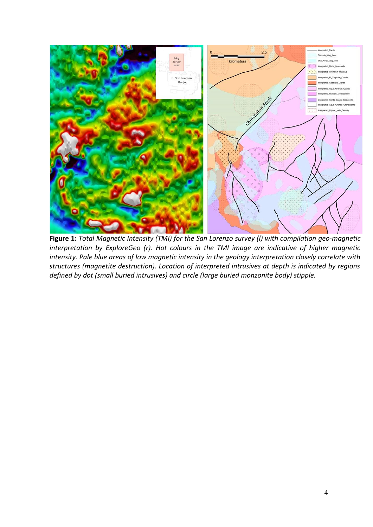

**Figure 1:** *Total Magnetic Intensity (TMI) for the San Lorenzo survey (l) with compilation geo-magnetic interpretation by ExploreGeo (r). Hot colours in the TMI image are indicative of higher magnetic intensity. Pale blue areas of low magnetic intensity in the geology interpretation closely correlate with structures (magnetite destruction). Location of interpreted intrusives at depth is indicated by regions defined by dot (small buried intrusives) and circle (large buried monzonite body) stipple.*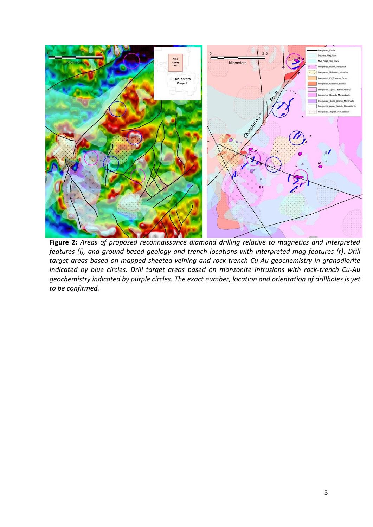

**Figure 2:** *Areas of proposed reconnaissance diamond drilling relative to magnetics and interpreted features (l), and ground-based geology and trench locations with interpreted mag features (r). Drill target areas based on mapped sheeted veining and rock-trench Cu-Au geochemistry in granodiorite indicated by blue circles. Drill target areas based on monzonite intrusions with rock-trench Cu-Au geochemistry indicated by purple circles. The exact number, location and orientation of drillholes is yet to be confirmed.*